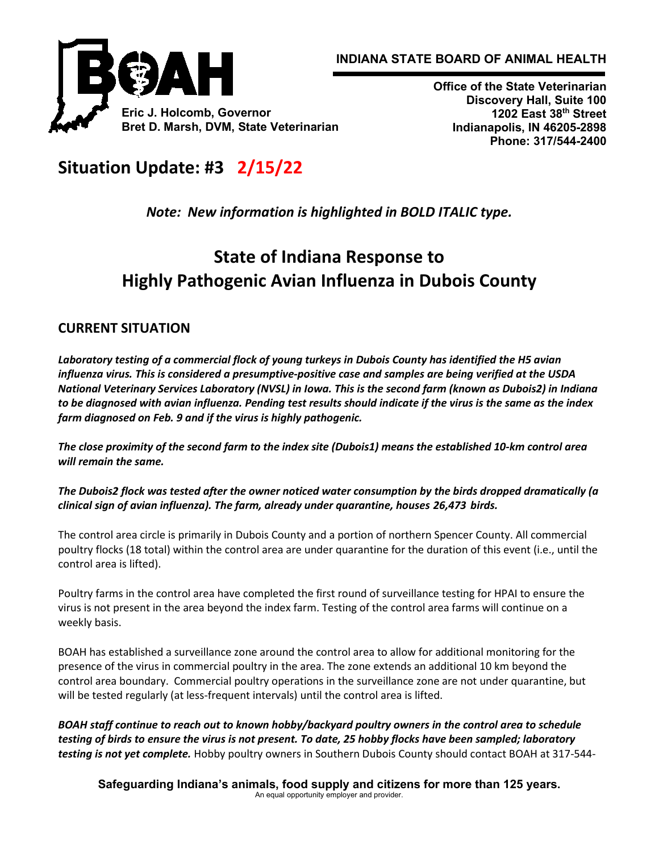



**Office of the State Veterinarian Discovery Hall, Suite 100 1202 East 38th Street Indianapolis, IN 46205-2898 Phone: 317/544-2400**

# **Situation Update: #3 2/15/22**

*Note: New information is highlighted in BOLD ITALIC type.*

# **State of Indiana Response to Highly Pathogenic Avian Influenza in Dubois County**

## **CURRENT SITUATION**

*Laboratory testing of a commercial flock of young turkeys in Dubois County has identified the H5 avian influenza virus. This is considered a presumptive-positive case and samples are being verified at the USDA National Veterinary Services Laboratory (NVSL) in Iowa. This is the second farm (known as Dubois2) in Indiana to be diagnosed with avian influenza. Pending test results should indicate if the virus is the same as the index farm diagnosed on Feb. 9 and if the virus is highly pathogenic.* 

*The close proximity of the second farm to the index site (Dubois1) means the established 10-km control area will remain the same.*

*The Dubois2 flock was tested after the owner noticed water consumption by the birds dropped dramatically (a clinical sign of avian influenza). The farm, already under quarantine, houses 26,473 birds.*

The control area circle is primarily in Dubois County and a portion of northern Spencer County. All commercial poultry flocks (18 total) within the control area are under quarantine for the duration of this event (i.e., until the control area is lifted).

Poultry farms in the control area have completed the first round of surveillance testing for HPAI to ensure the virus is not present in the area beyond the index farm. Testing of the control area farms will continue on a weekly basis.

BOAH has established a surveillance zone around the control area to allow for additional monitoring for the presence of the virus in commercial poultry in the area. The zone extends an additional 10 km beyond the control area boundary. Commercial poultry operations in the surveillance zone are not under quarantine, but will be tested regularly (at less-frequent intervals) until the control area is lifted.

*BOAH staff continue to reach out to known hobby/backyard poultry owners in the control area to schedule testing of birds to ensure the virus is not present. To date, 25 hobby flocks have been sampled; laboratory testing is not yet complete.* Hobby poultry owners in Southern Dubois County should contact BOAH at 317-544-

**Safeguarding Indiana's animals, food supply and citizens for more than 125 years.** An equal opportunity employer and provider.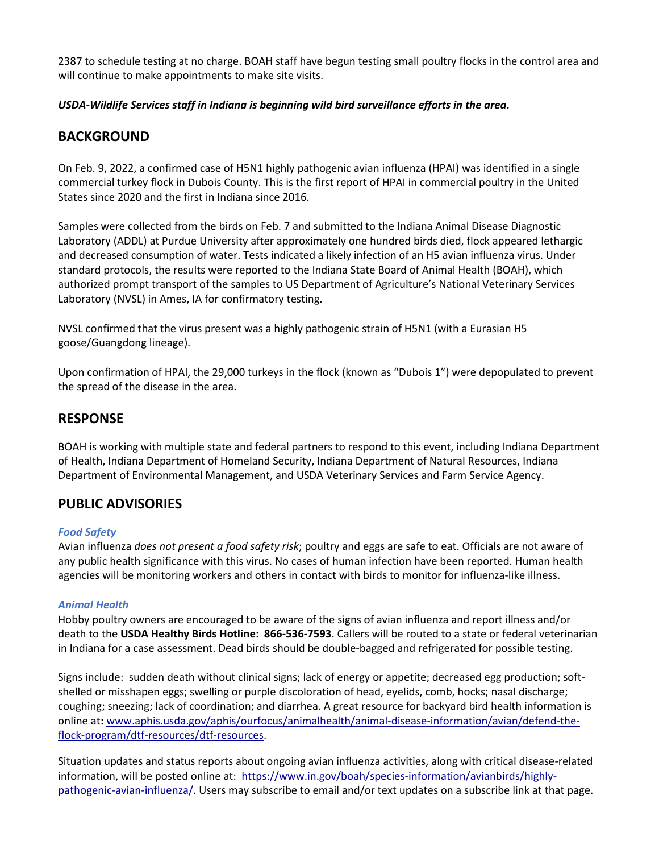2387 to schedule testing at no charge. BOAH staff have begun testing small poultry flocks in the control area and will continue to make appointments to make site visits.

*USDA-Wildlife Services staff in Indiana is beginning wild bird surveillance efforts in the area.*

## **BACKGROUND**

On Feb. 9, 2022, a confirmed case of H5N1 highly pathogenic avian influenza (HPAI) was identified in a single commercial turkey flock in Dubois County. This is the first report of HPAI in commercial poultry in the United States since 2020 and the first in Indiana since 2016.

Samples were collected from the birds on Feb. 7 and submitted to the Indiana Animal Disease Diagnostic Laboratory (ADDL) at Purdue University after approximately one hundred birds died, flock appeared lethargic and decreased consumption of water. Tests indicated a likely infection of an H5 avian influenza virus. Under standard protocols, the results were reported to the Indiana State Board of Animal Health (BOAH), which authorized prompt transport of the samples to US Department of Agriculture's National Veterinary Services Laboratory (NVSL) in Ames, IA for confirmatory testing.

NVSL confirmed that the virus present was a highly pathogenic strain of H5N1 (with a Eurasian H5 goose/Guangdong lineage).

Upon confirmation of HPAI, the 29,000 turkeys in the flock (known as "Dubois 1") were depopulated to prevent the spread of the disease in the area.

## **RESPONSE**

BOAH is working with multiple state and federal partners to respond to this event, including Indiana Department of Health, Indiana Department of Homeland Security, Indiana Department of Natural Resources, Indiana Department of Environmental Management, and USDA Veterinary Services and Farm Service Agency.

## **PUBLIC ADVISORIES**

#### *Food Safety*

Avian influenza *does not present a food safety risk*; poultry and eggs are safe to eat. Officials are not aware of any public health significance with this virus. No cases of human infection have been reported. Human health agencies will be monitoring workers and others in contact with birds to monitor for influenza-like illness.

#### *Animal Health*

Hobby poultry owners are encouraged to be aware of the signs of avian influenza and report illness and/or death to the **USDA Healthy Birds Hotline: 866-536-7593**. Callers will be routed to a state or federal veterinarian in Indiana for a case assessment. Dead birds should be double-bagged and refrigerated for possible testing.

Signs include: sudden death without clinical signs; lack of energy or appetite; decreased egg production; softshelled or misshapen eggs; swelling or purple discoloration of head, eyelids, comb, hocks; nasal discharge; coughing; sneezing; lack of coordination; and diarrhea. A great resource for backyard bird health information is online at**:** [www.aphis.usda.gov/aphis/ourfocus/animalhealth/animal-disease-information/avian/defend-the](http://www.aphis.usda.gov/aphis/ourfocus/animalhealth/animal-disease-information/avian/defend-the-flock-program/dtf-resources/dtf-resources)[flock-program/dtf-resources/dtf-resources.](http://www.aphis.usda.gov/aphis/ourfocus/animalhealth/animal-disease-information/avian/defend-the-flock-program/dtf-resources/dtf-resources)

Situation updates and status reports about ongoing avian influenza activities, along with critical disease-related information, will be posted online at: [https://www.in.gov/boah/species-information/avianbirds/highly](https://www.in.gov/boah/species-information/avianbirds/highly-pathogenic-avian-influenza/)[pathogenic-avian-influenza/.](https://www.in.gov/boah/species-information/avianbirds/highly-pathogenic-avian-influenza/) Users may subscribe to email and/or text updates on a subscribe link at that page.